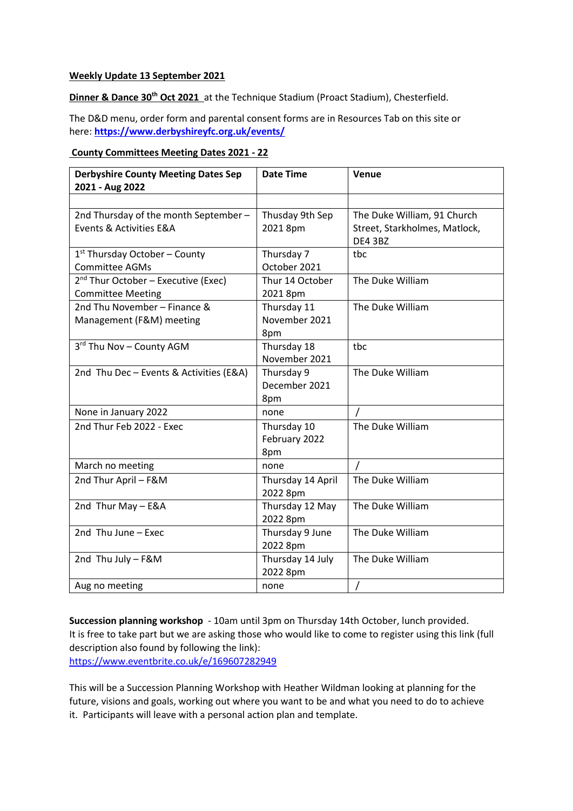# **Weekly Update 13 September 2021**

**Dinner & Dance 30th Oct 2021** at the Technique Stadium (Proact Stadium), Chesterfield.

The D&D menu, order form and parental consent forms are in Resources Tab on this site or here: **<https://www.derbyshireyfc.org.uk/events/>**

# **County Committees Meeting Dates 2021 - 22**

| <b>Derbyshire County Meeting Dates Sep</b><br>2021 - Aug 2022               | <b>Date Time</b>                    | Venue                                                                   |
|-----------------------------------------------------------------------------|-------------------------------------|-------------------------------------------------------------------------|
|                                                                             |                                     |                                                                         |
| 2nd Thursday of the month September-<br>Events & Activities E&A             | Thusday 9th Sep<br>2021 8pm         | The Duke William, 91 Church<br>Street, Starkholmes, Matlock,<br>DE4 3BZ |
| 1 <sup>st</sup> Thursday October - County<br><b>Committee AGMs</b>          | Thursday 7<br>October 2021          | tbc                                                                     |
| 2 <sup>nd</sup> Thur October - Executive (Exec)<br><b>Committee Meeting</b> | Thur 14 October<br>2021 8pm         | The Duke William                                                        |
| 2nd Thu November - Finance &<br>Management (F&M) meeting                    | Thursday 11<br>November 2021<br>8pm | The Duke William                                                        |
| 3rd Thu Nov - County AGM                                                    | Thursday 18<br>November 2021        | tbc                                                                     |
| 2nd Thu Dec - Events & Activities (E&A)                                     | Thursday 9<br>December 2021<br>8pm  | The Duke William                                                        |
| None in January 2022                                                        | none                                |                                                                         |
| 2nd Thur Feb 2022 - Exec                                                    | Thursday 10<br>February 2022<br>8pm | The Duke William                                                        |
| March no meeting                                                            | none                                | $\prime$                                                                |
| 2nd Thur April - F&M                                                        | Thursday 14 April<br>2022 8pm       | The Duke William                                                        |
| 2nd Thur May - E&A                                                          | Thursday 12 May<br>2022 8pm         | The Duke William                                                        |
| 2nd Thu June - Exec                                                         | Thursday 9 June<br>2022 8pm         | The Duke William                                                        |
| 2nd Thu July - F&M                                                          | Thursday 14 July<br>2022 8pm        | The Duke William                                                        |
| Aug no meeting                                                              | none                                | Τ                                                                       |

**Succession planning workshop** - 10am until 3pm on Thursday 14th October, lunch provided. It is free to take part but we are asking those who would like to come to register using this link (full description also found by following the link): <https://www.eventbrite.co.uk/e/169607282949>

This will be a Succession Planning Workshop with Heather Wildman looking at planning for the future, visions and goals, working out where you want to be and what you need to do to achieve it. Participants will leave with a personal action plan and template.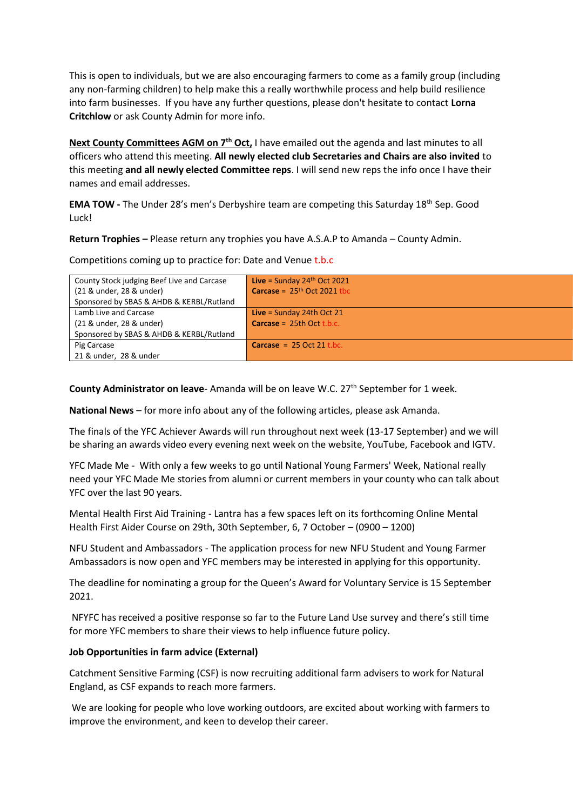This is open to individuals, but we are also encouraging farmers to come as a family group (including any non-farming children) to help make this a really worthwhile process and help build resilience into farm businesses. If you have any further questions, please don't hesitate to contact **Lorna Critchlow** or ask County Admin for more info.

**Next County Committees AGM on 7th Oct,** I have emailed out the agenda and last minutes to all officers who attend this meeting. **All newly elected club Secretaries and Chairs are also invited** to this meeting **and all newly elected Committee reps**. I will send new reps the info once I have their names and email addresses.

**EMA TOW -** The Under 28's men's Derbyshire team are competing this Saturday 18<sup>th</sup> Sep. Good Luck!

**Return Trophies –** Please return any trophies you have A.S.A.P to Amanda – County Admin.

Competitions coming up to practice for: Date and Venue t.b.c

| County Stock judging Beef Live and Carcase | Live = Sunday $24th$ Oct 2021        |
|--------------------------------------------|--------------------------------------|
| (21 & under, 28 & under)                   | <b>Carcase</b> = $25th$ Oct 2021 tbc |
| Sponsored by SBAS & AHDB & KERBL/Rutland   |                                      |
| Lamb Live and Carcase                      | <b>Live</b> = Sunday 24th Oct 21     |
| (21 & under, 28 & under)                   | <b>Carcase</b> = $25th$ Oct t.b.c.   |
| Sponsored by SBAS & AHDB & KERBL/Rutland   |                                      |
| Pig Carcase                                | <b>Carcase</b> = $25$ Oct $21$ t.bc. |
| 21 & under, 28 & under                     |                                      |

**County Administrator on leave-** Amanda will be on leave W.C. 27<sup>th</sup> September for 1 week.

**National News** – for more info about any of the following articles, please ask Amanda.

The finals of the YFC Achiever Awards will run throughout next week (13-17 September) and we will be sharing an awards video every evening next week on the website, YouTube, Facebook and IGTV.

YFC Made Me - With only a few weeks to go until National Young Farmers' Week, National really need your YFC Made Me stories from alumni or current members in your county who can talk about YFC over the last 90 years.

Mental Health First Aid Training - Lantra has a few spaces left on its forthcoming Online Mental Health First Aider Course on 29th, 30th September, 6, 7 October – (0900 – 1200)

NFU Student and Ambassadors - The application process for new NFU Student and Young Farmer Ambassadors is now open and YFC members may be interested in applying for this opportunity.

The deadline for nominating a group for the Queen's Award for Voluntary Service is 15 September 2021.

NFYFC has received a positive response so far to the Future Land Use survey and there's still time for more YFC members to share their views to help influence future policy.

# **Job Opportunities in farm advice (External)**

Catchment Sensitive Farming (CSF) is now recruiting additional farm advisers to work for Natural England, as CSF expands to reach more farmers.

We are looking for people who love working outdoors, are excited about working with farmers to improve the environment, and keen to develop their career.